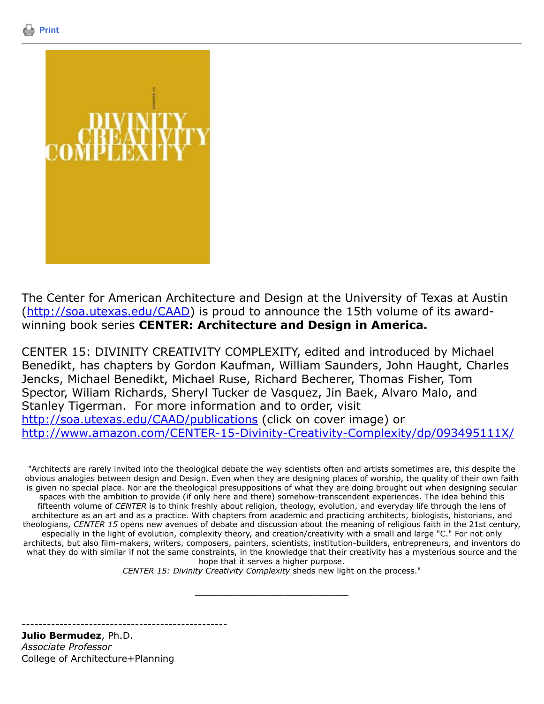



The Center for American Architecture and Design at the University of Texas at Austin [\(http://soa.utexas.edu/CAAD\)](http://soa.utexas.edu/CAAD) is proud to announce the 15th volume of its awardwinning book series **CENTER: Architecture and Design in America.**

CENTER 15: DIVINITY CREATIVITY COMPLEXITY, edited and introduced by Michael Benedikt, has chapters by Gordon Kaufman, William Saunders, John Haught, Charles Jencks, Michael Benedikt, Michael Ruse, Richard Becherer, Thomas Fisher, Tom Spector, Wiliam Richards, Sheryl Tucker de Vasquez, Jin Baek, Alvaro Malo, and Stanley Tigerman. For more information and to order, visit <http://soa.utexas.edu/CAAD/publications> (click on cover image) or <http://www.amazon.com/CENTER-15-Divinity-Creativity-Complexity/dp/093495111X/>

"Architects are rarely invited into the theological debate the way scientists often and artists sometimes are, this despite the obvious analogies between design and Design. Even when they are designing places of worship, the quality of their own faith is given no special place. Nor are the theological presuppositions of what they are doing brought out when designing secular spaces with the ambition to provide (if only here and there) somehow-transcendent experiences. The idea behind this fifteenth volume of *CENTER* is to think freshly about religion, theology, evolution, and everyday life through the lens of architecture as an art and as a practice. With chapters from academic and practicing architects, biologists, historians, and theologians, *CENTER 15* opens new avenues of debate and discussion about the meaning of religious faith in the 21st century, especially in the light of evolution, complexity theory, and creation/creativity with a small and large "C." For not only architects, but also film-makers, writers, composers, painters, scientists, institution-builders, entrepreneurs, and inventors do what they do with similar if not the same constraints, in the knowledge that their creativity has a mysterious source and the hope that it serves a higher purpose.

*CENTER 15: Divinity Creativity Complexity* sheds new light on the process."

\_\_\_\_\_\_\_\_\_\_\_\_\_\_\_\_\_\_\_\_\_\_\_\_\_\_\_\_\_\_\_\_\_\_\_\_

-------------------------------------------------

**Julio Bermudez**, Ph.D. *Associate Professor* College of Architecture+Planning